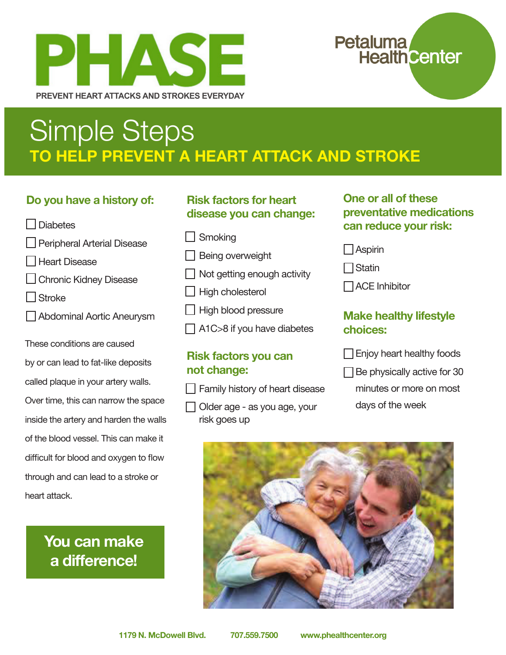

# Petaluma<br>Health Center

# Simple Steps **TO HELP PREVENT A HEART ATTACK AND STROKE**

### **Do you have a history of:**

Diabetes



- $\Box$  Heart Disease
- $\Box$  Chronic Kidney Disease
- □ Stroke
- Abdominal Aortic Aneurysm

These conditions are caused

| by or can lead to fat-like deposits    |
|----------------------------------------|
| called plaque in your artery walls.    |
| Over time, this can narrow the space   |
| inside the artery and harden the walls |
| of the blood vessel. This can make it  |
| difficult for blood and oxygen to flow |
| through and can lead to a stroke or    |
| heart attack.                          |

**You can make a difference!**

### **Risk factors for heart disease you can change:**

- Smoking
- Being overweight
- Not getting enough activity
- High cholesterol
- High blood pressure
- A1C>8 if you have diabetes

#### **Risk factors you can not change:**

 $\Box$  Family history of heart disease

 Older age - as you age, your risk goes up

### **One or all of these preventative medications can reduce your risk:**

Aspirin

**□**Statin

 $\Box$  ACE Inhibitor

### **Make healthy lifestyle choices:**

| $\Box$ Enjoy heart healthy foods |  |
|----------------------------------|--|
|----------------------------------|--|

- $\Box$  Be physically active for 30
	- minutes or more on most days of the week